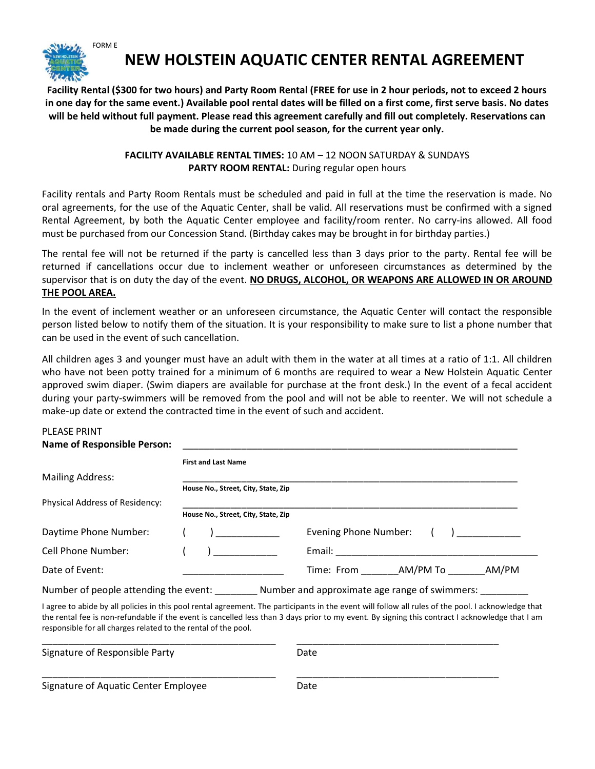

## NEW HOLSTEIN AQUATIC CENTER RENTAL AGREEMENT

Facility Rental (\$300 for two hours) and Party Room Rental (FREE for use in 2 hour periods, not to exceed 2 hours in one day for the same event.) Available pool rental dates will be filled on a first come, first serve basis. No dates will be held without full payment. Please read this agreement carefully and fill out completely. Reservations can be made during the current pool season, for the current year only.

## FACILITY AVAILABLE RENTAL TIMES: 10 AM - 12 NOON SATURDAY & SUNDAYS PARTY ROOM RENTAL: During regular open hours

Facility rentals and Party Room Rentals must be scheduled and paid in full at the time the reservation is made. No oral agreements, for the use of the Aquatic Center, shall be valid. All reservations must be confirmed with a signed Rental Agreement, by both the Aquatic Center employee and facility/room renter. No carry-ins allowed. All food must be purchased from our Concession Stand. (Birthday cakes may be brought in for birthday parties.)

The rental fee will not be returned if the party is cancelled less than 3 days prior to the party. Rental fee will be returned if cancellations occur due to inclement weather or unforeseen circumstances as determined by the supervisor that is on duty the day of the event. NO DRUGS, ALCOHOL, OR WEAPONS ARE ALLOWED IN OR AROUND THE POOL AREA.

In the event of inclement weather or an unforeseen circumstance, the Aquatic Center will contact the responsible person listed below to notify them of the situation. It is your responsibility to make sure to list a phone number that can be used in the event of such cancellation.

All children ages 3 and younger must have an adult with them in the water at all times at a ratio of 1:1. All children who have not been potty trained for a minimum of 6 months are required to wear a New Holstein Aquatic Center approved swim diaper. (Swim diapers are available for purchase at the front desk.) In the event of a fecal accident during your party-swimmers will be removed from the pool and will not be able to reenter. We will not schedule a make-up date or extend the contracted time in the event of such and accident.

## PLEASE PRINT

## Name of Responsible Person:

| <b>NUMBER OF RESPONSIVIE LETS</b>                              |                                     |                                                                                                                                                                                                                                                                                                        |
|----------------------------------------------------------------|-------------------------------------|--------------------------------------------------------------------------------------------------------------------------------------------------------------------------------------------------------------------------------------------------------------------------------------------------------|
|                                                                | <b>First and Last Name</b>          |                                                                                                                                                                                                                                                                                                        |
| <b>Mailing Address:</b>                                        |                                     |                                                                                                                                                                                                                                                                                                        |
|                                                                | House No., Street, City, State, Zip |                                                                                                                                                                                                                                                                                                        |
| Physical Address of Residency:                                 |                                     |                                                                                                                                                                                                                                                                                                        |
|                                                                | House No., Street, City, State, Zip |                                                                                                                                                                                                                                                                                                        |
| Daytime Phone Number:                                          | $\overline{a}$                      | Evening Phone Number:                                                                                                                                                                                                                                                                                  |
| Cell Phone Number:                                             | $\sqrt{2}$                          |                                                                                                                                                                                                                                                                                                        |
| Date of Event:                                                 |                                     | Time: From AM/PM To AM/PM                                                                                                                                                                                                                                                                              |
|                                                                |                                     | Number of people attending the event: Number and approximate age range of swimmers:                                                                                                                                                                                                                    |
| responsible for all charges related to the rental of the pool. |                                     | I agree to abide by all policies in this pool rental agreement. The participants in the event will follow all rules of the pool. I acknowledge that<br>the rental fee is non-refundable if the event is cancelled less than 3 days prior to my event. By signing this contract I acknowledge that I am |

| Signature of Responsible Party       | Date |  |
|--------------------------------------|------|--|
| Signature of Aquatic Center Employee | Date |  |